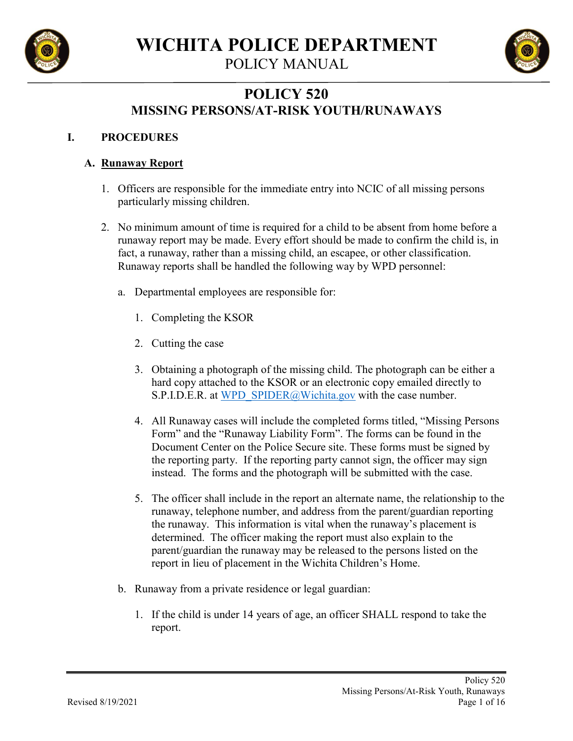

POLICY MANUAL



# **POLICY 520 MISSING PERSONS/AT-RISK YOUTH/RUNAWAYS**

### **I. PROCEDURES**

### **A. Runaway Report**

- 1. Officers are responsible for the immediate entry into NCIC of all missing persons particularly missing children.
- 2. No minimum amount of time is required for a child to be absent from home before a runaway report may be made. Every effort should be made to confirm the child is, in fact, a runaway, rather than a missing child, an escapee, or other classification. Runaway reports shall be handled the following way by WPD personnel:
	- a. Departmental employees are responsible for:
		- 1. Completing the KSOR
		- 2. Cutting the case
		- 3. Obtaining a photograph of the missing child. The photograph can be either a hard copy attached to the KSOR or an electronic copy emailed directly to S.P.I.D.E.R. at [WPD\\_SPIDER@Wichita.gov](mailto:WPD_SPIDER@Wichita.gov) with the case number.
		- 4. All Runaway cases will include the completed forms titled, "Missing Persons Form" and the "Runaway Liability Form". The forms can be found in the Document Center on the Police Secure site. These forms must be signed by the reporting party. If the reporting party cannot sign, the officer may sign instead. The forms and the photograph will be submitted with the case.
		- 5. The officer shall include in the report an alternate name, the relationship to the runaway, telephone number, and address from the parent/guardian reporting the runaway. This information is vital when the runaway's placement is determined. The officer making the report must also explain to the parent/guardian the runaway may be released to the persons listed on the report in lieu of placement in the Wichita Children's Home.
	- b. Runaway from a private residence or legal guardian:
		- 1. If the child is under 14 years of age, an officer SHALL respond to take the report.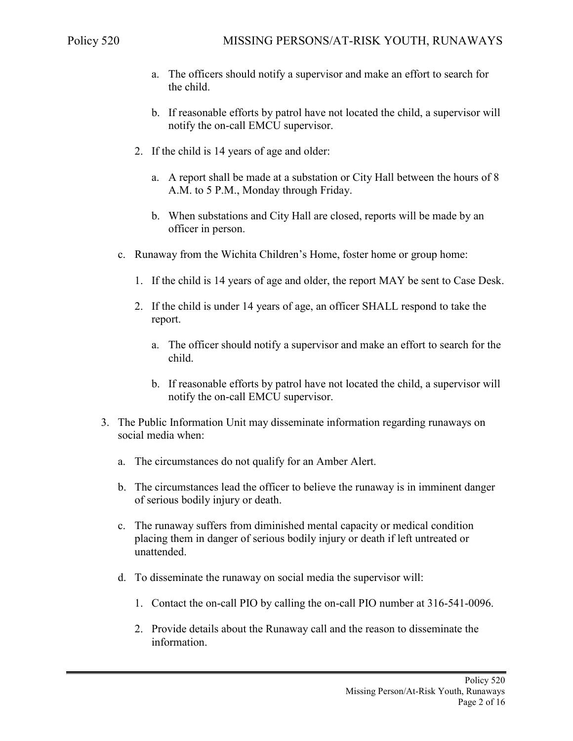- a. The officers should notify a supervisor and make an effort to search for the child.
- b. If reasonable efforts by patrol have not located the child, a supervisor will notify the on-call EMCU supervisor.
- 2. If the child is 14 years of age and older:
	- a. A report shall be made at a substation or City Hall between the hours of 8 A.M. to 5 P.M., Monday through Friday.
	- b. When substations and City Hall are closed, reports will be made by an officer in person.
- c. Runaway from the Wichita Children's Home, foster home or group home:
	- 1. If the child is 14 years of age and older, the report MAY be sent to Case Desk.
	- 2. If the child is under 14 years of age, an officer SHALL respond to take the report.
		- a. The officer should notify a supervisor and make an effort to search for the child.
		- b. If reasonable efforts by patrol have not located the child, a supervisor will notify the on-call EMCU supervisor.
- 3. The Public Information Unit may disseminate information regarding runaways on social media when:
	- a. The circumstances do not qualify for an Amber Alert.
	- b. The circumstances lead the officer to believe the runaway is in imminent danger of serious bodily injury or death.
	- c. The runaway suffers from diminished mental capacity or medical condition placing them in danger of serious bodily injury or death if left untreated or unattended.
	- d. To disseminate the runaway on social media the supervisor will:
		- 1. Contact the on-call PIO by calling the on-call PIO number at 316-541-0096.
		- 2. Provide details about the Runaway call and the reason to disseminate the information.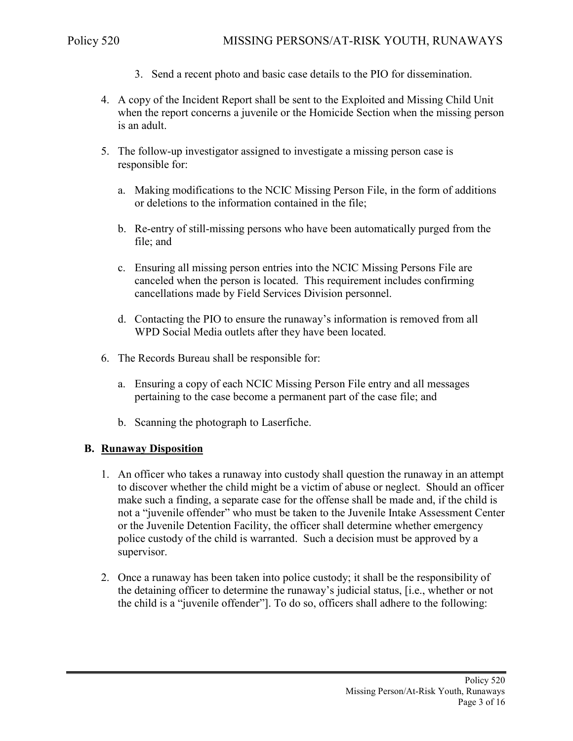- 3. Send a recent photo and basic case details to the PIO for dissemination.
- 4. A copy of the Incident Report shall be sent to the Exploited and Missing Child Unit when the report concerns a juvenile or the Homicide Section when the missing person is an adult.
- 5. The follow-up investigator assigned to investigate a missing person case is responsible for:
	- a. Making modifications to the NCIC Missing Person File, in the form of additions or deletions to the information contained in the file;
	- b. Re-entry of still-missing persons who have been automatically purged from the file; and
	- c. Ensuring all missing person entries into the NCIC Missing Persons File are canceled when the person is located. This requirement includes confirming cancellations made by Field Services Division personnel.
	- d. Contacting the PIO to ensure the runaway's information is removed from all WPD Social Media outlets after they have been located.
- 6. The Records Bureau shall be responsible for:
	- a. Ensuring a copy of each NCIC Missing Person File entry and all messages pertaining to the case become a permanent part of the case file; and
	- b. Scanning the photograph to Laserfiche.

#### **B. Runaway Disposition**

- 1. An officer who takes a runaway into custody shall question the runaway in an attempt to discover whether the child might be a victim of abuse or neglect. Should an officer make such a finding, a separate case for the offense shall be made and, if the child is not a "juvenile offender" who must be taken to the Juvenile Intake Assessment Center or the Juvenile Detention Facility, the officer shall determine whether emergency police custody of the child is warranted. Such a decision must be approved by a supervisor.
- 2. Once a runaway has been taken into police custody; it shall be the responsibility of the detaining officer to determine the runaway's judicial status, [i.e., whether or not the child is a "juvenile offender"]. To do so, officers shall adhere to the following: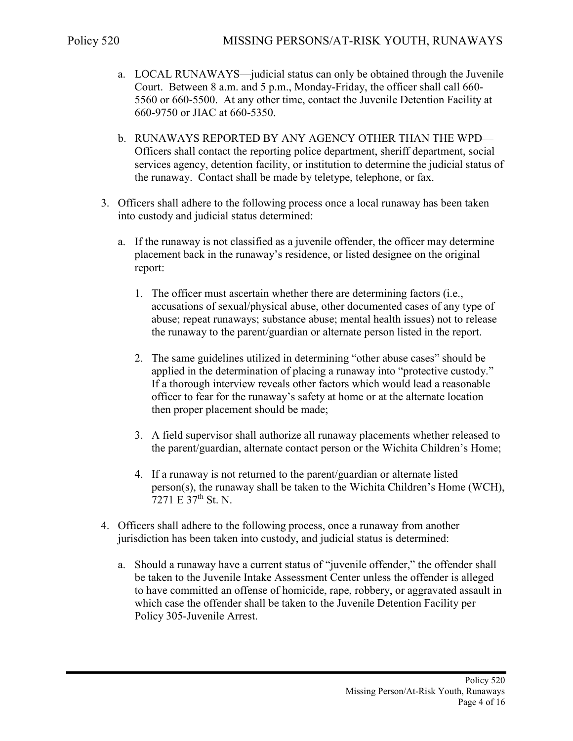- a. LOCAL RUNAWAYS—judicial status can only be obtained through the Juvenile Court. Between 8 a.m. and 5 p.m., Monday-Friday, the officer shall call 660- 5560 or 660-5500. At any other time, contact the Juvenile Detention Facility at 660-9750 or JIAC at 660-5350.
- b. RUNAWAYS REPORTED BY ANY AGENCY OTHER THAN THE WPD— Officers shall contact the reporting police department, sheriff department, social services agency, detention facility, or institution to determine the judicial status of the runaway. Contact shall be made by teletype, telephone, or fax.
- 3. Officers shall adhere to the following process once a local runaway has been taken into custody and judicial status determined:
	- a. If the runaway is not classified as a juvenile offender, the officer may determine placement back in the runaway's residence, or listed designee on the original report:
		- 1. The officer must ascertain whether there are determining factors (i.e., accusations of sexual/physical abuse, other documented cases of any type of abuse; repeat runaways; substance abuse; mental health issues) not to release the runaway to the parent/guardian or alternate person listed in the report.
		- 2. The same guidelines utilized in determining "other abuse cases" should be applied in the determination of placing a runaway into "protective custody." If a thorough interview reveals other factors which would lead a reasonable officer to fear for the runaway's safety at home or at the alternate location then proper placement should be made;
		- 3. A field supervisor shall authorize all runaway placements whether released to the parent/guardian, alternate contact person or the Wichita Children's Home;
		- 4. If a runaway is not returned to the parent/guardian or alternate listed person(s), the runaway shall be taken to the Wichita Children's Home (WCH),  $7271 \to 37^{th}$  St. N.
- 4. Officers shall adhere to the following process, once a runaway from another jurisdiction has been taken into custody, and judicial status is determined:
	- a. Should a runaway have a current status of "juvenile offender," the offender shall be taken to the Juvenile Intake Assessment Center unless the offender is alleged to have committed an offense of homicide, rape, robbery, or aggravated assault in which case the offender shall be taken to the Juvenile Detention Facility per Policy 305-Juvenile Arrest.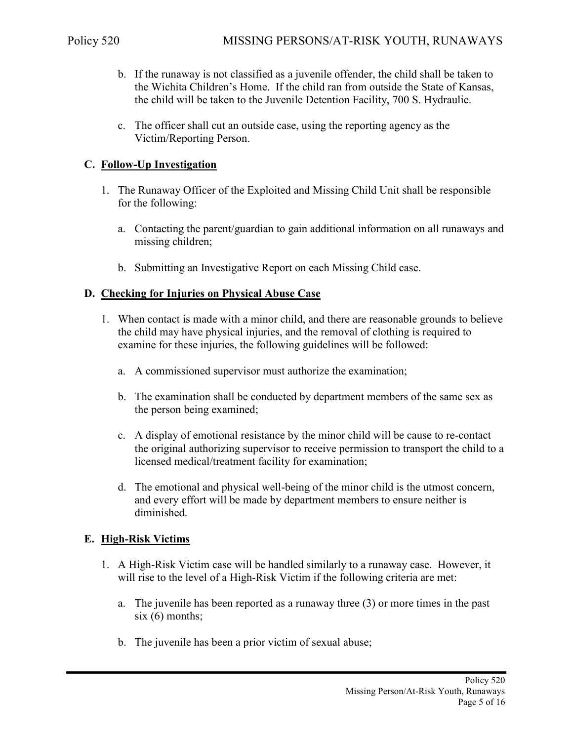- b. If the runaway is not classified as a juvenile offender, the child shall be taken to the Wichita Children's Home. If the child ran from outside the State of Kansas, the child will be taken to the Juvenile Detention Facility, 700 S. Hydraulic.
- c. The officer shall cut an outside case, using the reporting agency as the Victim/Reporting Person.

### **C. Follow-Up Investigation**

- 1. The Runaway Officer of the Exploited and Missing Child Unit shall be responsible for the following:
	- a. Contacting the parent/guardian to gain additional information on all runaways and missing children;
	- b. Submitting an Investigative Report on each Missing Child case.

### **D. Checking for Injuries on Physical Abuse Case**

- 1. When contact is made with a minor child, and there are reasonable grounds to believe the child may have physical injuries, and the removal of clothing is required to examine for these injuries, the following guidelines will be followed:
	- a. A commissioned supervisor must authorize the examination;
	- b. The examination shall be conducted by department members of the same sex as the person being examined;
	- c. A display of emotional resistance by the minor child will be cause to re-contact the original authorizing supervisor to receive permission to transport the child to a licensed medical/treatment facility for examination;
	- d. The emotional and physical well-being of the minor child is the utmost concern, and every effort will be made by department members to ensure neither is diminished.

### **E. High-Risk Victims**

- 1. A High-Risk Victim case will be handled similarly to a runaway case. However, it will rise to the level of a High-Risk Victim if the following criteria are met:
	- a. The juvenile has been reported as a runaway three (3) or more times in the past  $six(6)$  months;
	- b. The juvenile has been a prior victim of sexual abuse;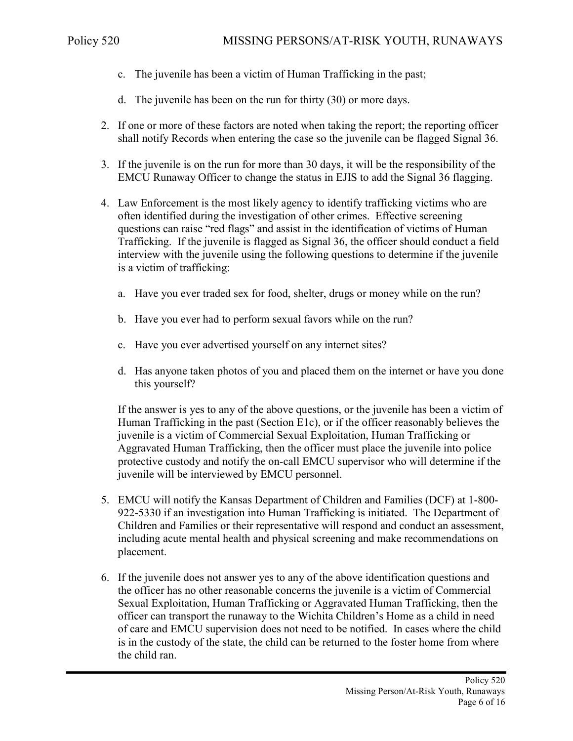- c. The juvenile has been a victim of Human Trafficking in the past;
- d. The juvenile has been on the run for thirty (30) or more days.
- 2. If one or more of these factors are noted when taking the report; the reporting officer shall notify Records when entering the case so the juvenile can be flagged Signal 36.
- 3. If the juvenile is on the run for more than 30 days, it will be the responsibility of the EMCU Runaway Officer to change the status in EJIS to add the Signal 36 flagging.
- 4. Law Enforcement is the most likely agency to identify trafficking victims who are often identified during the investigation of other crimes. Effective screening questions can raise "red flags" and assist in the identification of victims of Human Trafficking. If the juvenile is flagged as Signal 36, the officer should conduct a field interview with the juvenile using the following questions to determine if the juvenile is a victim of trafficking:
	- a. Have you ever traded sex for food, shelter, drugs or money while on the run?
	- b. Have you ever had to perform sexual favors while on the run?
	- c. Have you ever advertised yourself on any internet sites?
	- d. Has anyone taken photos of you and placed them on the internet or have you done this yourself?

If the answer is yes to any of the above questions, or the juvenile has been a victim of Human Trafficking in the past (Section E1c), or if the officer reasonably believes the juvenile is a victim of Commercial Sexual Exploitation, Human Trafficking or Aggravated Human Trafficking, then the officer must place the juvenile into police protective custody and notify the on-call EMCU supervisor who will determine if the juvenile will be interviewed by EMCU personnel.

- 5. EMCU will notify the Kansas Department of Children and Families (DCF) at 1-800- 922-5330 if an investigation into Human Trafficking is initiated. The Department of Children and Families or their representative will respond and conduct an assessment, including acute mental health and physical screening and make recommendations on placement.
- 6. If the juvenile does not answer yes to any of the above identification questions and the officer has no other reasonable concerns the juvenile is a victim of Commercial Sexual Exploitation, Human Trafficking or Aggravated Human Trafficking, then the officer can transport the runaway to the Wichita Children's Home as a child in need of care and EMCU supervision does not need to be notified. In cases where the child is in the custody of the state, the child can be returned to the foster home from where the child ran.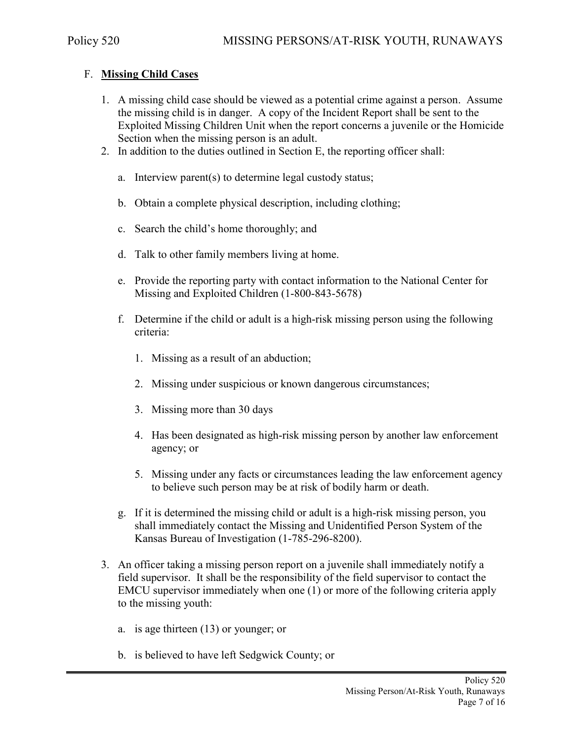### F. **Missing Child Cases**

- 1. A missing child case should be viewed as a potential crime against a person. Assume the missing child is in danger. A copy of the Incident Report shall be sent to the Exploited Missing Children Unit when the report concerns a juvenile or the Homicide Section when the missing person is an adult.
- 2. In addition to the duties outlined in Section E, the reporting officer shall:
	- a. Interview parent(s) to determine legal custody status;
	- b. Obtain a complete physical description, including clothing;
	- c. Search the child's home thoroughly; and
	- d. Talk to other family members living at home.
	- e. Provide the reporting party with contact information to the National Center for Missing and Exploited Children (1-800-843-5678)
	- f. Determine if the child or adult is a high-risk missing person using the following criteria:
		- 1. Missing as a result of an abduction;
		- 2. Missing under suspicious or known dangerous circumstances;
		- 3. Missing more than 30 days
		- 4. Has been designated as high-risk missing person by another law enforcement agency; or
		- 5. Missing under any facts or circumstances leading the law enforcement agency to believe such person may be at risk of bodily harm or death.
	- g. If it is determined the missing child or adult is a high-risk missing person, you shall immediately contact the Missing and Unidentified Person System of the Kansas Bureau of Investigation (1-785-296-8200).
- 3. An officer taking a missing person report on a juvenile shall immediately notify a field supervisor. It shall be the responsibility of the field supervisor to contact the EMCU supervisor immediately when one (1) or more of the following criteria apply to the missing youth:
	- a. is age thirteen (13) or younger; or
	- b. is believed to have left Sedgwick County; or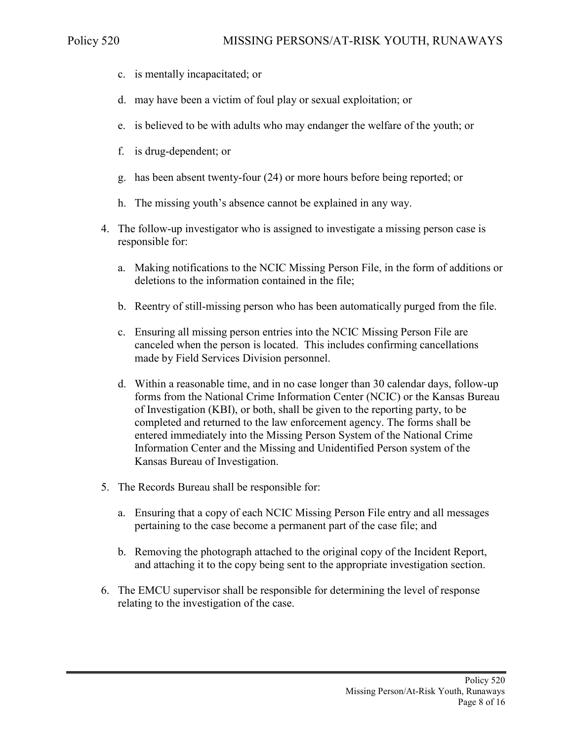- c. is mentally incapacitated; or
- d. may have been a victim of foul play or sexual exploitation; or
- e. is believed to be with adults who may endanger the welfare of the youth; or
- f. is drug-dependent; or
- g. has been absent twenty-four (24) or more hours before being reported; or
- h. The missing youth's absence cannot be explained in any way.
- 4. The follow-up investigator who is assigned to investigate a missing person case is responsible for:
	- a. Making notifications to the NCIC Missing Person File, in the form of additions or deletions to the information contained in the file;
	- b. Reentry of still-missing person who has been automatically purged from the file.
	- c. Ensuring all missing person entries into the NCIC Missing Person File are canceled when the person is located. This includes confirming cancellations made by Field Services Division personnel.
	- d. Within a reasonable time, and in no case longer than 30 calendar days, follow-up forms from the National Crime Information Center (NCIC) or the Kansas Bureau of Investigation (KBI), or both, shall be given to the reporting party, to be completed and returned to the law enforcement agency. The forms shall be entered immediately into the Missing Person System of the National Crime Information Center and the Missing and Unidentified Person system of the Kansas Bureau of Investigation.
- 5. The Records Bureau shall be responsible for:
	- a. Ensuring that a copy of each NCIC Missing Person File entry and all messages pertaining to the case become a permanent part of the case file; and
	- b. Removing the photograph attached to the original copy of the Incident Report, and attaching it to the copy being sent to the appropriate investigation section.
- 6. The EMCU supervisor shall be responsible for determining the level of response relating to the investigation of the case.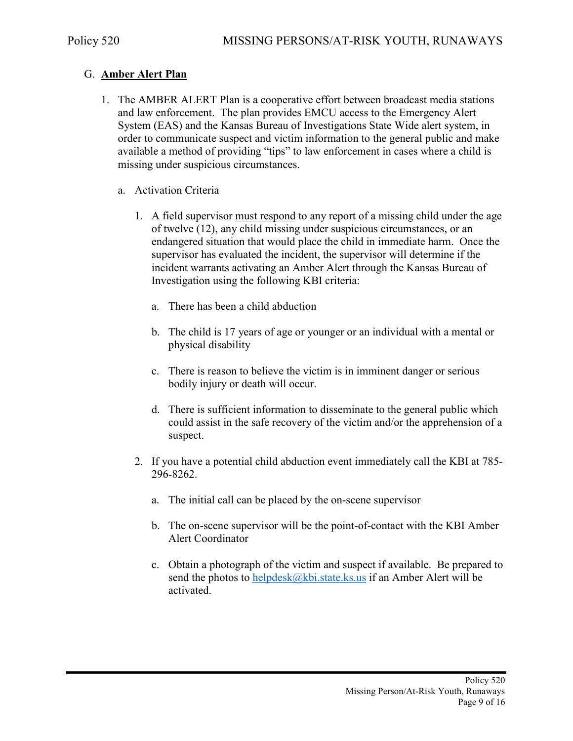### G. **Amber Alert Plan**

- 1. The AMBER ALERT Plan is a cooperative effort between broadcast media stations and law enforcement. The plan provides EMCU access to the Emergency Alert System (EAS) and the Kansas Bureau of Investigations State Wide alert system, in order to communicate suspect and victim information to the general public and make available a method of providing "tips" to law enforcement in cases where a child is missing under suspicious circumstances.
	- a. Activation Criteria
		- 1. A field supervisor must respond to any report of a missing child under the age of twelve (12), any child missing under suspicious circumstances, or an endangered situation that would place the child in immediate harm. Once the supervisor has evaluated the incident, the supervisor will determine if the incident warrants activating an Amber Alert through the Kansas Bureau of Investigation using the following KBI criteria:
			- a. There has been a child abduction
			- b. The child is 17 years of age or younger or an individual with a mental or physical disability
			- c. There is reason to believe the victim is in imminent danger or serious bodily injury or death will occur.
			- d. There is sufficient information to disseminate to the general public which could assist in the safe recovery of the victim and/or the apprehension of a suspect.
		- 2. If you have a potential child abduction event immediately call the KBI at 785- 296-8262.
			- a. The initial call can be placed by the on-scene supervisor
			- b. The on-scene supervisor will be the point-of-contact with the KBI Amber Alert Coordinator
			- c. Obtain a photograph of the victim and suspect if available. Be prepared to send the photos to helpdesk $@kbi.$ state.ks.us if an Amber Alert will be activated.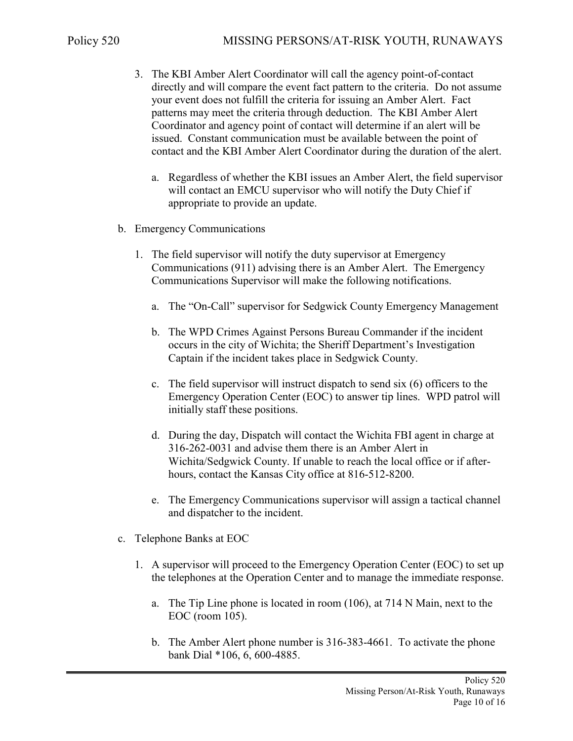- 3. The KBI Amber Alert Coordinator will call the agency point-of-contact directly and will compare the event fact pattern to the criteria. Do not assume your event does not fulfill the criteria for issuing an Amber Alert. Fact patterns may meet the criteria through deduction. The KBI Amber Alert Coordinator and agency point of contact will determine if an alert will be issued. Constant communication must be available between the point of contact and the KBI Amber Alert Coordinator during the duration of the alert.
	- a. Regardless of whether the KBI issues an Amber Alert, the field supervisor will contact an EMCU supervisor who will notify the Duty Chief if appropriate to provide an update.
- b. Emergency Communications
	- 1. The field supervisor will notify the duty supervisor at Emergency Communications (911) advising there is an Amber Alert. The Emergency Communications Supervisor will make the following notifications.
		- a. The "On-Call" supervisor for Sedgwick County Emergency Management
		- b. The WPD Crimes Against Persons Bureau Commander if the incident occurs in the city of Wichita; the Sheriff Department's Investigation Captain if the incident takes place in Sedgwick County.
		- c. The field supervisor will instruct dispatch to send six (6) officers to the Emergency Operation Center (EOC) to answer tip lines. WPD patrol will initially staff these positions.
		- d. During the day, Dispatch will contact the Wichita FBI agent in charge at 316-262-0031 and advise them there is an Amber Alert in Wichita/Sedgwick County. If unable to reach the local office or if afterhours, contact the Kansas City office at 816-512-8200.
		- e. The Emergency Communications supervisor will assign a tactical channel and dispatcher to the incident.
- c. Telephone Banks at EOC
	- 1. A supervisor will proceed to the Emergency Operation Center (EOC) to set up the telephones at the Operation Center and to manage the immediate response.
		- a. The Tip Line phone is located in room (106), at 714 N Main, next to the EOC (room 105).
		- b. The Amber Alert phone number is 316-383-4661. To activate the phone bank Dial \*106, 6, 600-4885.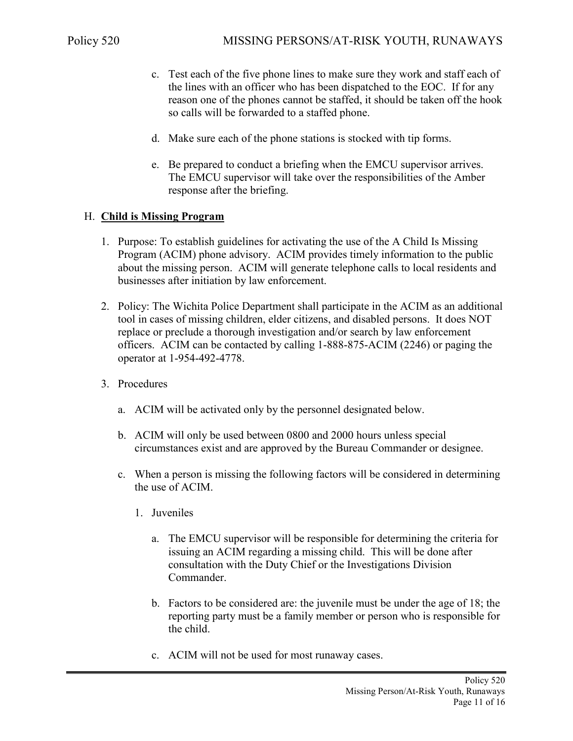- c. Test each of the five phone lines to make sure they work and staff each of the lines with an officer who has been dispatched to the EOC. If for any reason one of the phones cannot be staffed, it should be taken off the hook so calls will be forwarded to a staffed phone.
- d. Make sure each of the phone stations is stocked with tip forms.
- e. Be prepared to conduct a briefing when the EMCU supervisor arrives. The EMCU supervisor will take over the responsibilities of the Amber response after the briefing.

### H. **Child is Missing Program**

- 1. Purpose: To establish guidelines for activating the use of the A Child Is Missing Program (ACIM) phone advisory. ACIM provides timely information to the public about the missing person. ACIM will generate telephone calls to local residents and businesses after initiation by law enforcement.
- 2. Policy: The Wichita Police Department shall participate in the ACIM as an additional tool in cases of missing children, elder citizens, and disabled persons. It does NOT replace or preclude a thorough investigation and/or search by law enforcement officers. ACIM can be contacted by calling 1-888-875-ACIM (2246) or paging the operator at 1-954-492-4778.
- 3. Procedures
	- a. ACIM will be activated only by the personnel designated below.
	- b. ACIM will only be used between 0800 and 2000 hours unless special circumstances exist and are approved by the Bureau Commander or designee.
	- c. When a person is missing the following factors will be considered in determining the use of ACIM.
		- 1. Juveniles
			- a. The EMCU supervisor will be responsible for determining the criteria for issuing an ACIM regarding a missing child. This will be done after consultation with the Duty Chief or the Investigations Division Commander.
			- b. Factors to be considered are: the juvenile must be under the age of 18; the reporting party must be a family member or person who is responsible for the child.
			- c. ACIM will not be used for most runaway cases.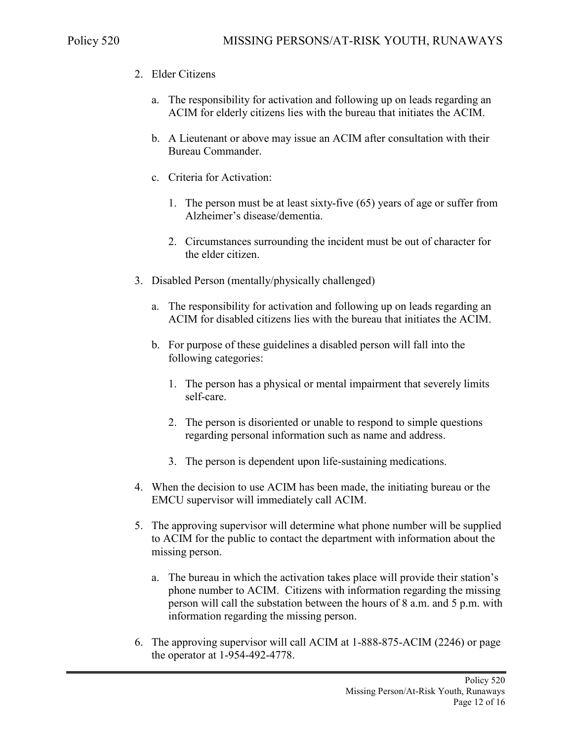- 2. Elder Citizens
	- a. The responsibility for activation and following up on leads regarding an ACIM for elderly citizens lies with the bureau that initiates the ACIM.
	- b. A Lieutenant or above may issue an ACIM after consultation with their Bureau Commander.
	- c. Criteria for Activation:
		- 1. The person must be at least sixty-five (65) years of age or suffer from Alzheimer's disease/dementia.
		- 2. Circumstances surrounding the incident must be out of character for the elder citizen.
- 3. Disabled Person (mentally/physically challenged)
	- a. The responsibility for activation and following up on leads regarding an ACIM for disabled citizens lies with the bureau that initiates the ACIM.
	- b. For purpose of these guidelines a disabled person will fall into the following categories:
		- 1. The person has a physical or mental impairment that severely limits self-care.
		- 2. The person is disoriented or unable to respond to simple questions regarding personal information such as name and address.
		- 3. The person is dependent upon life-sustaining medications.
- 4. When the decision to use ACIM has been made, the initiating bureau or the EMCU supervisor will immediately call ACIM.
- 5. The approving supervisor will determine what phone number will be supplied to ACIM for the public to contact the department with information about the missing person.
	- a. The bureau in which the activation takes place will provide their station's phone number to ACIM. Citizens with information regarding the missing person will call the substation between the hours of 8 a.m. and 5 p.m. with information regarding the missing person.
- 6. The approving supervisor will call ACIM at 1-888-875-ACIM (2246) or page the operator at 1-954-492-4778.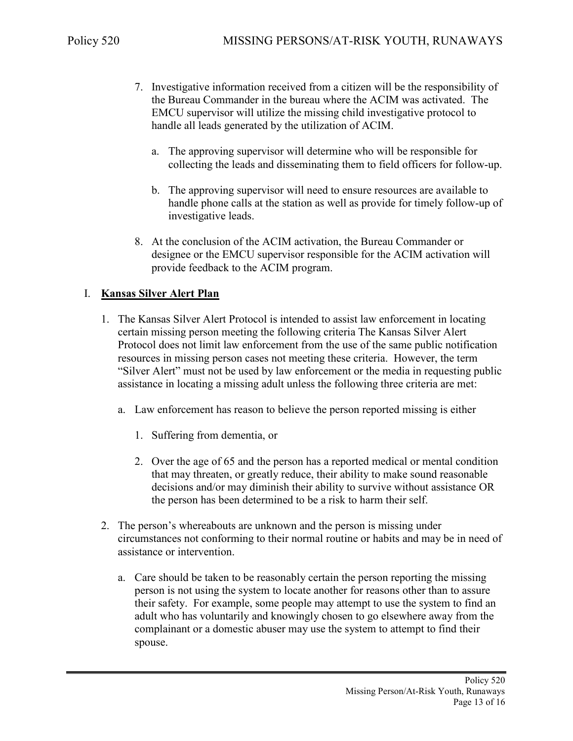- 7. Investigative information received from a citizen will be the responsibility of the Bureau Commander in the bureau where the ACIM was activated. The EMCU supervisor will utilize the missing child investigative protocol to handle all leads generated by the utilization of ACIM.
	- a. The approving supervisor will determine who will be responsible for collecting the leads and disseminating them to field officers for follow-up.
	- b. The approving supervisor will need to ensure resources are available to handle phone calls at the station as well as provide for timely follow-up of investigative leads.
- 8. At the conclusion of the ACIM activation, the Bureau Commander or designee or the EMCU supervisor responsible for the ACIM activation will provide feedback to the ACIM program.

### I. **Kansas Silver Alert Plan**

- 1. The Kansas Silver Alert Protocol is intended to assist law enforcement in locating certain missing person meeting the following criteria The Kansas Silver Alert Protocol does not limit law enforcement from the use of the same public notification resources in missing person cases not meeting these criteria. However, the term "Silver Alert" must not be used by law enforcement or the media in requesting public assistance in locating a missing adult unless the following three criteria are met:
	- a. Law enforcement has reason to believe the person reported missing is either
		- 1. Suffering from dementia, or
		- 2. Over the age of 65 and the person has a reported medical or mental condition that may threaten, or greatly reduce, their ability to make sound reasonable decisions and/or may diminish their ability to survive without assistance OR the person has been determined to be a risk to harm their self.
- 2. The person's whereabouts are unknown and the person is missing under circumstances not conforming to their normal routine or habits and may be in need of assistance or intervention.
	- a. Care should be taken to be reasonably certain the person reporting the missing person is not using the system to locate another for reasons other than to assure their safety. For example, some people may attempt to use the system to find an adult who has voluntarily and knowingly chosen to go elsewhere away from the complainant or a domestic abuser may use the system to attempt to find their spouse.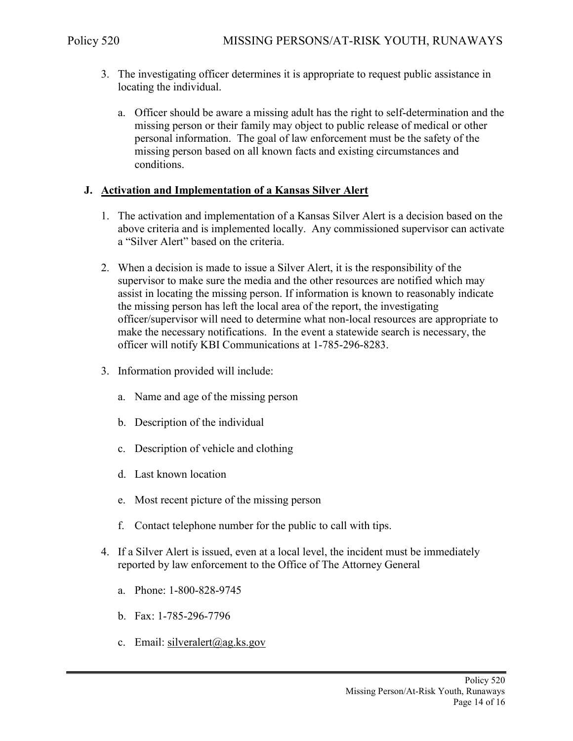- 3. The investigating officer determines it is appropriate to request public assistance in locating the individual.
	- a. Officer should be aware a missing adult has the right to self-determination and the missing person or their family may object to public release of medical or other personal information. The goal of law enforcement must be the safety of the missing person based on all known facts and existing circumstances and conditions.

#### **J. Activation and Implementation of a Kansas Silver Alert**

- 1. The activation and implementation of a Kansas Silver Alert is a decision based on the above criteria and is implemented locally. Any commissioned supervisor can activate a "Silver Alert" based on the criteria.
- 2. When a decision is made to issue a Silver Alert, it is the responsibility of the supervisor to make sure the media and the other resources are notified which may assist in locating the missing person. If information is known to reasonably indicate the missing person has left the local area of the report, the investigating officer/supervisor will need to determine what non-local resources are appropriate to make the necessary notifications. In the event a statewide search is necessary, the officer will notify KBI Communications at 1-785-296-8283.
- 3. Information provided will include:
	- a. Name and age of the missing person
	- b. Description of the individual
	- c. Description of vehicle and clothing
	- d. Last known location
	- e. Most recent picture of the missing person
	- f. Contact telephone number for the public to call with tips.
- 4. If a Silver Alert is issued, even at a local level, the incident must be immediately reported by law enforcement to the Office of The Attorney General
	- a. Phone: 1-800-828-9745
	- b. Fax: 1-785-296-7796
	- c. Email: [silveralert@ag.ks.gov](mailto:silveralert@ag.ks.gov)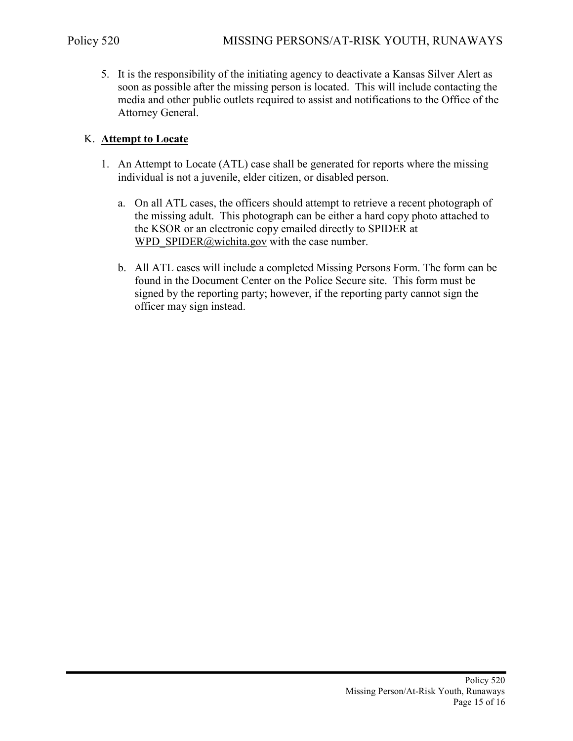5. It is the responsibility of the initiating agency to deactivate a Kansas Silver Alert as soon as possible after the missing person is located. This will include contacting the media and other public outlets required to assist and notifications to the Office of the Attorney General.

### K. **Attempt to Locate**

- 1. An Attempt to Locate (ATL) case shall be generated for reports where the missing individual is not a juvenile, elder citizen, or disabled person.
	- a. On all ATL cases, the officers should attempt to retrieve a recent photograph of the missing adult. This photograph can be either a hard copy photo attached to the KSOR or an electronic copy emailed directly to SPIDER at [WPD\\_SPIDER@wichita.gov](mailto:WPD_SPIDER@wichita.gov) with the case number.
	- b. All ATL cases will include a completed Missing Persons Form. The form can be found in the Document Center on the Police Secure site. This form must be signed by the reporting party; however, if the reporting party cannot sign the officer may sign instead.